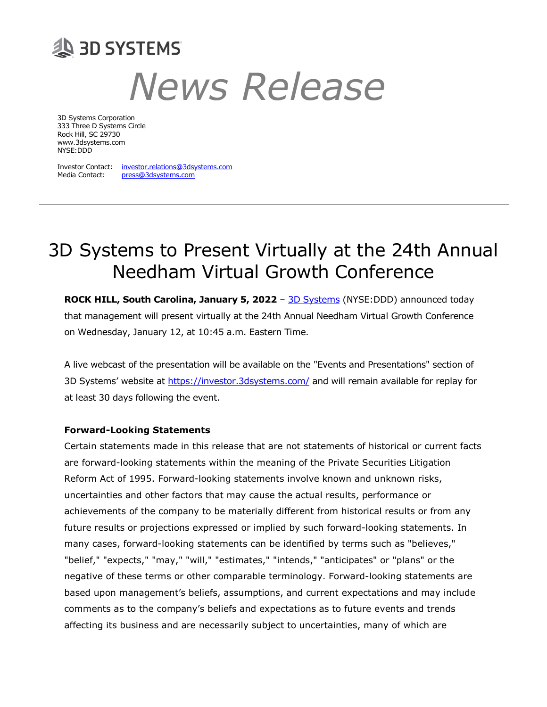# **AS 3D SYSTEMS** News Release

3D Systems Corporation 333 Three D Systems Circle Rock Hill, SC 29730 www.3dsystems.com NYSE:DDD

Investor Contact: investor.relations@3dsystems.com Media Contact: press@3dsystems.com

## 3D Systems to Present Virtually at the 24th Annual Needham Virtual Growth Conference

ROCK HILL, South Carolina, January 5, 2022 - 3D Systems (NYSE:DDD) announced today that management will present virtually at the 24th Annual Needham Virtual Growth Conference on Wednesday, January 12, at 10:45 a.m. Eastern Time.

A live webcast of the presentation will be available on the "Events and Presentations" section of 3D Systems' website at https://investor.3dsystems.com/ and will remain available for replay for at least 30 days following the event.

### Forward-Looking Statements

Certain statements made in this release that are not statements of historical or current facts are forward-looking statements within the meaning of the Private Securities Litigation Reform Act of 1995. Forward-looking statements involve known and unknown risks, uncertainties and other factors that may cause the actual results, performance or achievements of the company to be materially different from historical results or from any future results or projections expressed or implied by such forward-looking statements. In many cases, forward-looking statements can be identified by terms such as "believes," "belief," "expects," "may," "will," "estimates," "intends," "anticipates" or "plans" or the negative of these terms or other comparable terminology. Forward-looking statements are based upon management's beliefs, assumptions, and current expectations and may include comments as to the company's beliefs and expectations as to future events and trends affecting its business and are necessarily subject to uncertainties, many of which are